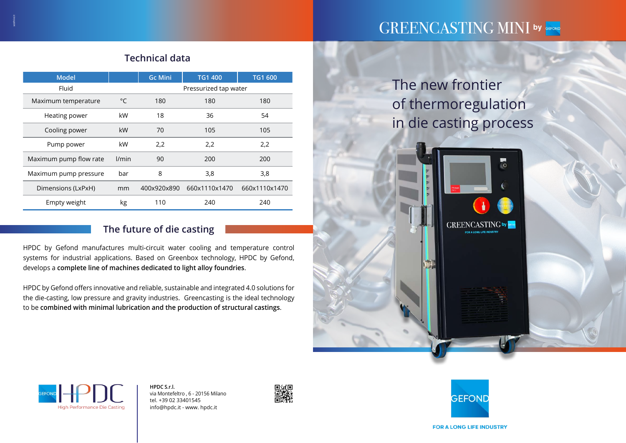The new frontier of thermoregulation in die casting process



| <b>Model</b>           |              | <b>Gc Mini</b>        | <b>TG1 400</b> | <b>TG1 600</b> |
|------------------------|--------------|-----------------------|----------------|----------------|
| Fluid                  |              | Pressurized tap water |                |                |
| Maximum temperature    | $^{\circ}$ C | 180                   | 180            | 180            |
| Heating power          | kW           | 18                    | 36             | 54             |
| Cooling power          | kW           | 70                    | 105            | 105            |
| Pump power             | kW           | 2,2                   | 2,2            | 2,2            |
| Maximum pump flow rate | l/min        | 90                    | 200            | 200            |
| Maximum pump pressure  | bar          | 8                     | 3,8            | 3,8            |
| Dimensions (LxPxH)     | mm           | 400x920x890           | 660x1110x1470  | 660x1110x1470  |
| Empty weight           | kg           | 110                   | 240            | 240            |

## **The future of die casting**

HPDC by Gefond manufactures multi-circuit water cooling and temperature control systems for industrial applications. Based on Greenbox technology, HPDC by Gefond, develops a **complete line of machines dedicated to light alloy foundries**.

HPDC by Gefond offers innovative and reliable, sustainable and integrated 4.0 solutions for the die-casting, low pressure and gravity industries. Greencasting is the ideal technology to be **combined with minimal lubrication and the production of structural castings**.

# GREENCASTING MINI by GEFOND

## **Technical data**

**HPDC S.r.l.**  via Montefeltro , 6 - 20156 Milano tel. +39 02 33401545 info@hpdc.it - www. hpdc.it